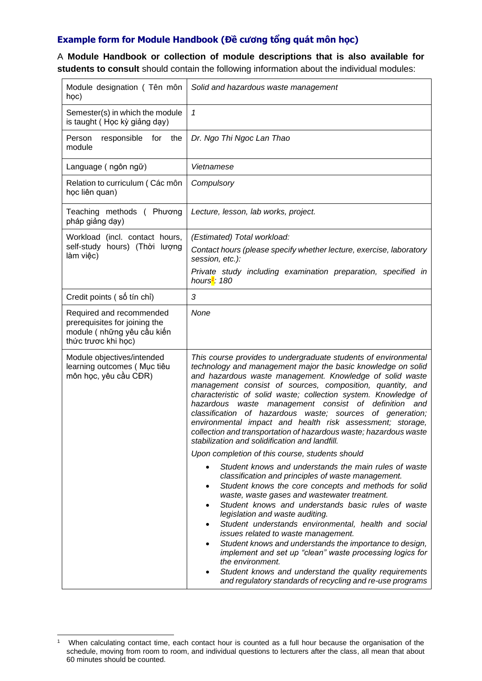## **Example form for Module Handbook (Đề cương tổng quát môn học)**

A **Module Handbook or collection of module descriptions that is also available for students to consult** should contain the following information about the individual modules:

| Module designation (Tên môn<br>học)                                                                             | Solid and hazardous waste management                                                                                                                                                                                                                                                                                                                                                                                                                                                                                                                                                                                                                                                         |
|-----------------------------------------------------------------------------------------------------------------|----------------------------------------------------------------------------------------------------------------------------------------------------------------------------------------------------------------------------------------------------------------------------------------------------------------------------------------------------------------------------------------------------------------------------------------------------------------------------------------------------------------------------------------------------------------------------------------------------------------------------------------------------------------------------------------------|
| Semester(s) in which the module<br>is taught (Học kỳ giảng dạy)                                                 | 1                                                                                                                                                                                                                                                                                                                                                                                                                                                                                                                                                                                                                                                                                            |
| the<br>Person<br>responsible<br>for<br>module                                                                   | Dr. Ngo Thi Ngoc Lan Thao                                                                                                                                                                                                                                                                                                                                                                                                                                                                                                                                                                                                                                                                    |
| Language (ngôn ngữ)                                                                                             | Vietnamese                                                                                                                                                                                                                                                                                                                                                                                                                                                                                                                                                                                                                                                                                   |
| Relation to curriculum (Các môn<br>học liên quan)                                                               | Compulsory                                                                                                                                                                                                                                                                                                                                                                                                                                                                                                                                                                                                                                                                                   |
| Teaching methods (Phương<br>pháp giảng dạy)                                                                     | Lecture, lesson, lab works, project.                                                                                                                                                                                                                                                                                                                                                                                                                                                                                                                                                                                                                                                         |
| Workload (incl. contact hours,                                                                                  | (Estimated) Total workload:                                                                                                                                                                                                                                                                                                                                                                                                                                                                                                                                                                                                                                                                  |
| self-study hours) (Thời lượng<br>làm việc)                                                                      | Contact hours (please specify whether lecture, exercise, laboratory<br>session, etc.):                                                                                                                                                                                                                                                                                                                                                                                                                                                                                                                                                                                                       |
|                                                                                                                 | Private study including examination preparation, specified in<br>hours <sup>1</sup> : 180                                                                                                                                                                                                                                                                                                                                                                                                                                                                                                                                                                                                    |
| Credit points (số tín chỉ)                                                                                      | 3                                                                                                                                                                                                                                                                                                                                                                                                                                                                                                                                                                                                                                                                                            |
| Required and recommended<br>prerequisites for joining the<br>module ( những yêu cầu kiến<br>thức trược khi học) | None                                                                                                                                                                                                                                                                                                                                                                                                                                                                                                                                                                                                                                                                                         |
| Module objectives/intended<br>learning outcomes (Mục tiêu<br>môn học, yêu cầu CĐR)                              | This course provides to undergraduate students of environmental<br>technology and management major the basic knowledge on solid<br>and hazardous waste management. Knowledge of solid waste<br>management consist of sources, composition, quantity, and<br>characteristic of solid waste; collection system. Knowledge of<br>waste management consist of definition and<br>hazardous<br>classification of hazardous waste; sources<br>of generation;<br>environmental impact and health risk assessment; storage,<br>collection and transportation of hazardous waste; hazardous waste<br>stabilization and solidification and landfill.<br>Upon completion of this course, students should |
|                                                                                                                 | Student knows and understands the main rules of waste<br>classification and principles of waste management.<br>Student knows the core concepts and methods for solid<br>waste, waste gases and wastewater treatment.<br>Student knows and understands basic rules of waste<br>legislation and waste auditing.<br>Student understands environmental, health and social<br>$\bullet$<br>issues related to waste management.<br>Student knows and understands the importance to design,<br>implement and set up "clean" waste processing logics for<br>the environment.<br>Student knows and understand the quality requirements<br>and regulatory standards of recycling and re-use programs   |

<sup>1</sup> When calculating contact time, each contact hour is counted as a full hour because the organisation of the schedule, moving from room to room, and individual questions to lecturers after the class, all mean that about 60 minutes should be counted.